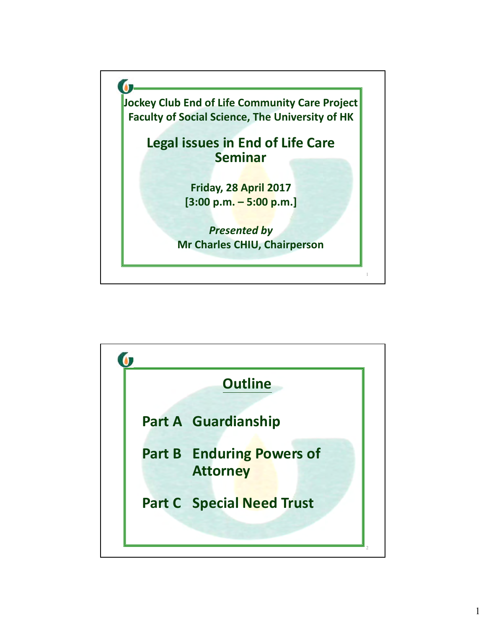

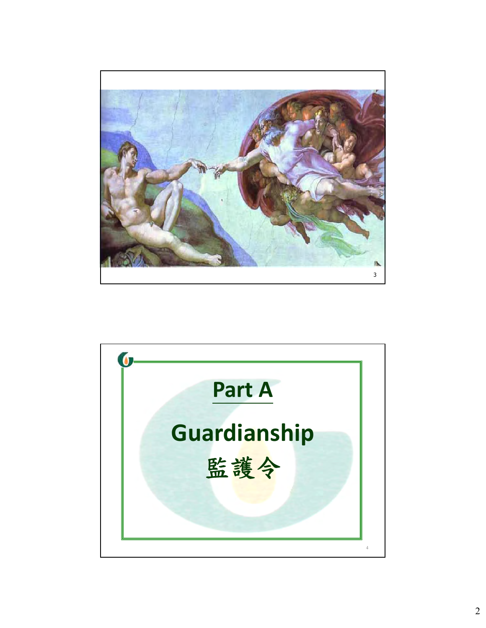

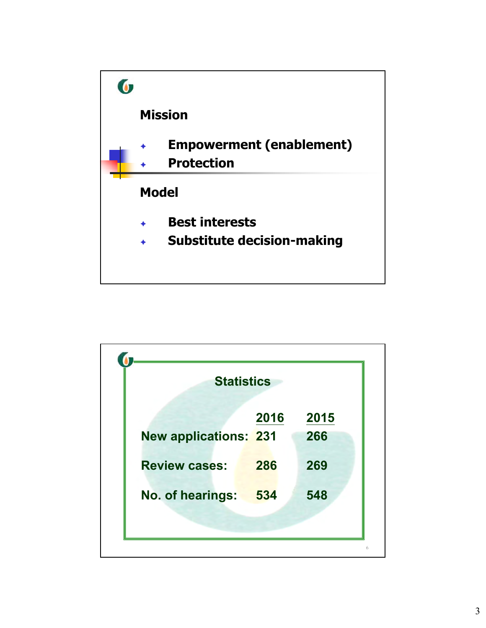

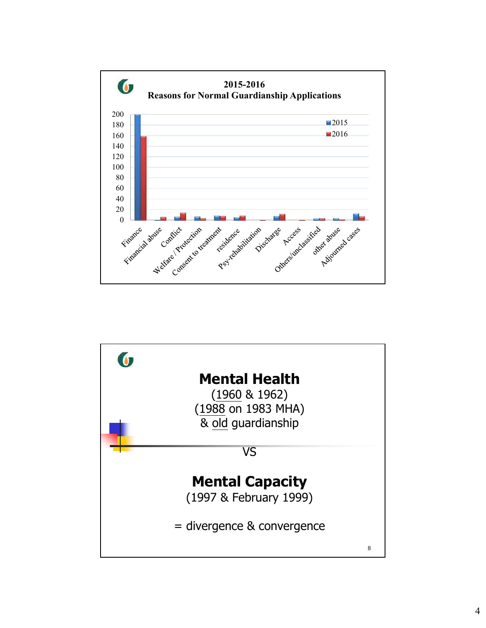

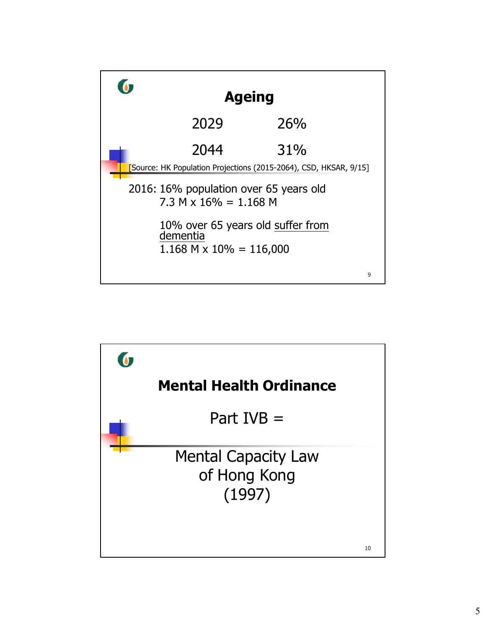

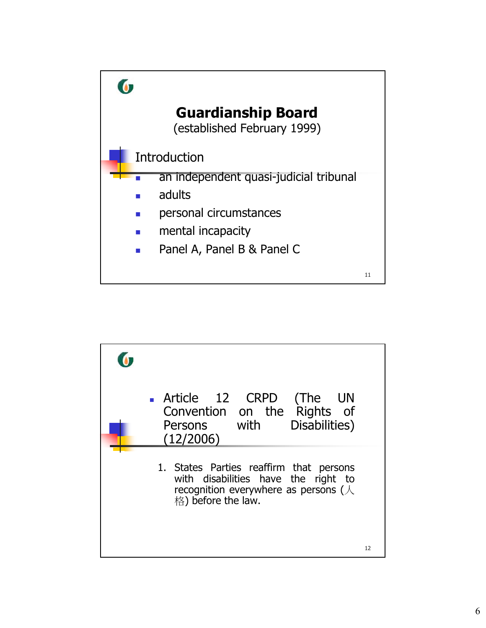

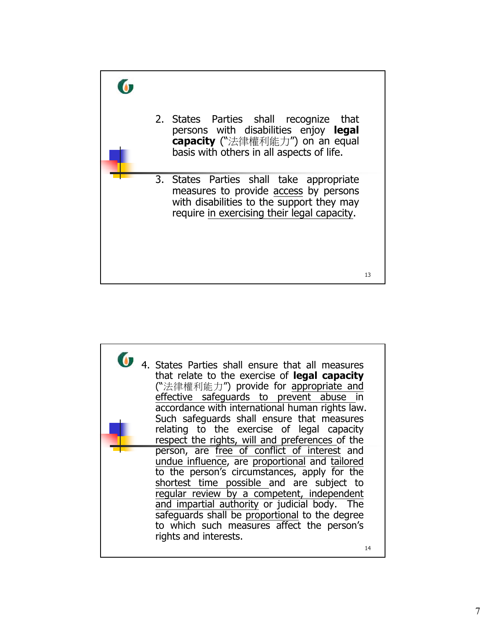

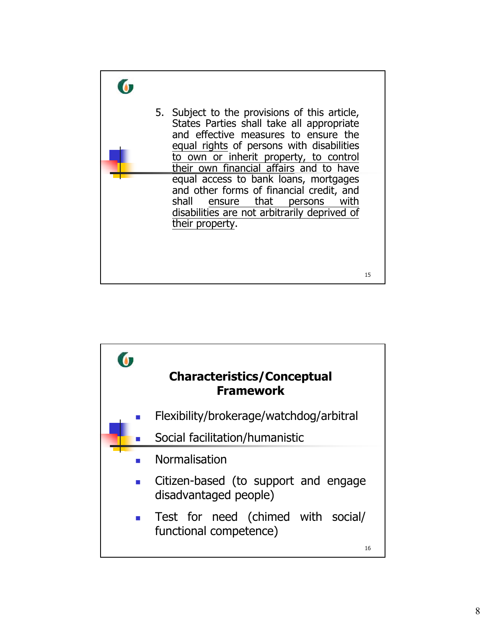

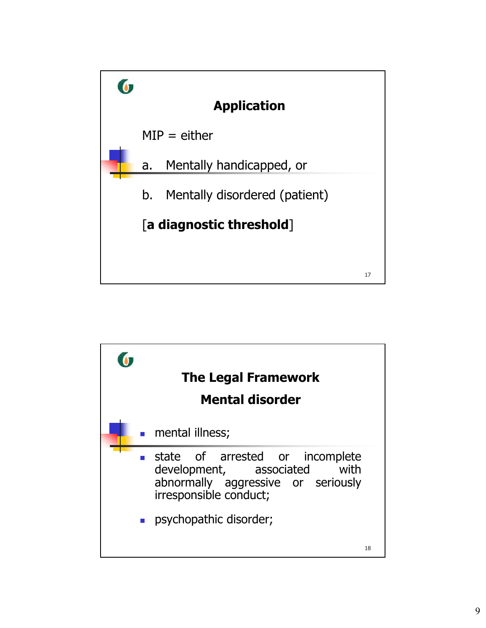

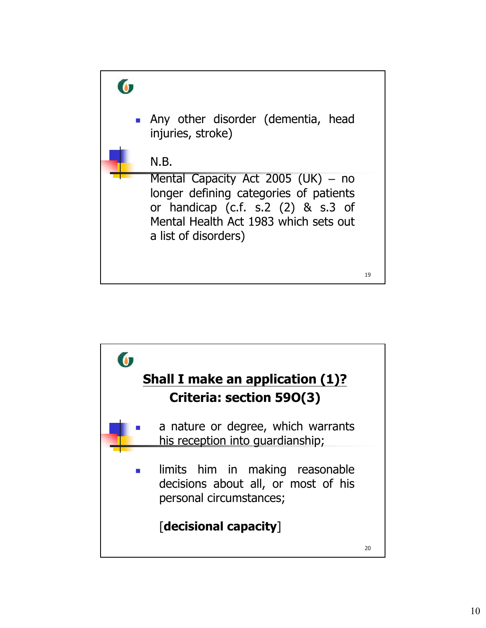

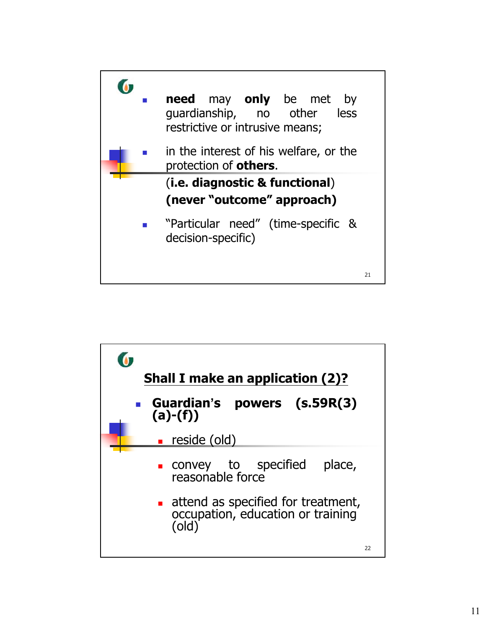

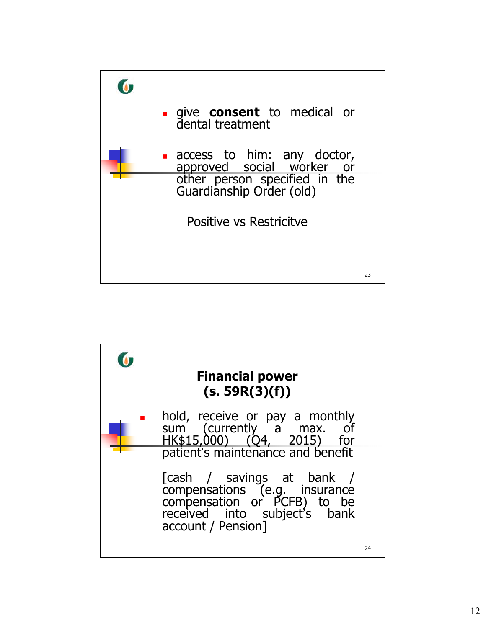

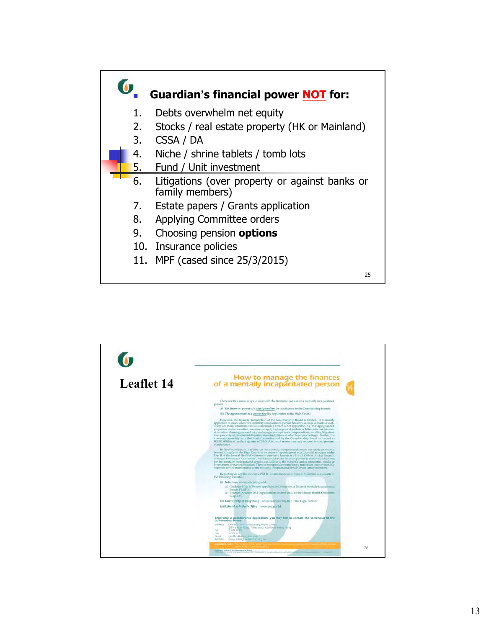

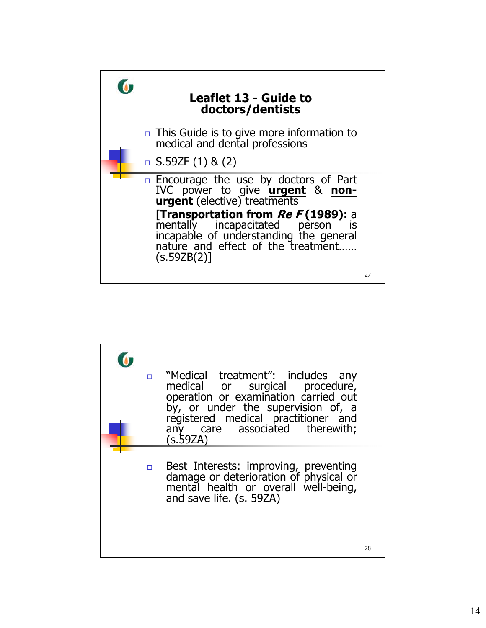

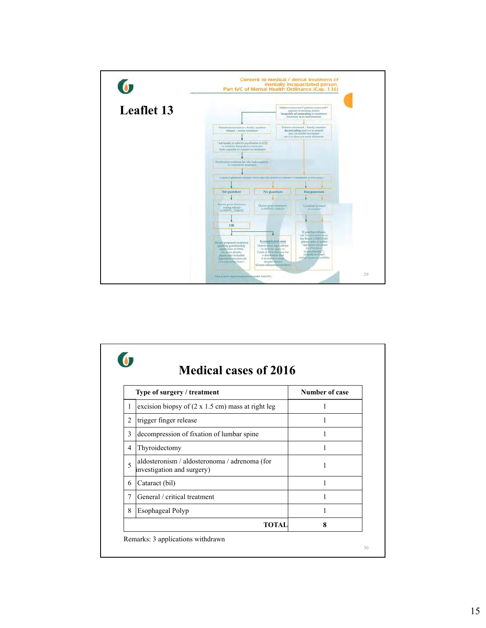

|   | Type of surgery / treatment                                                 | Number of case |
|---|-----------------------------------------------------------------------------|----------------|
| 1 | excision biopsy of $(2 \times 1.5 \text{ cm})$ mass at right leg            |                |
| 2 | trigger finger release                                                      |                |
| 3 | decompression of fixation of lumbar spine                                   | 1              |
| 4 | Thyroidectomy                                                               | 1              |
| 5 | aldosteronism / aldosteronoma / adrenoma (for<br>investigation and surgery) | 1              |
| 6 | Cataract (bil)                                                              | 1              |
| 7 | General / critical treatment                                                | 1              |
| 8 | Esophageal Polyp                                                            | 1              |
|   | <b>TOTAL</b>                                                                | 8              |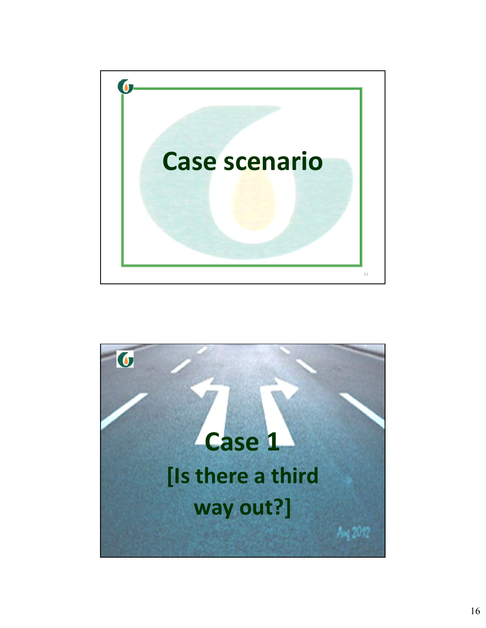

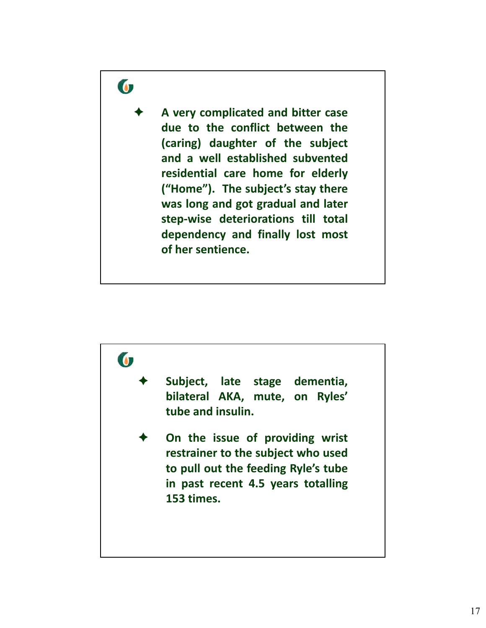# $\bullet$

 **A very complicated and bitter case due to the conflict between the (caring) daughter of the subject and a well established subvented residential care home for elderly ("Home"). The subject's stay there was long and got gradual and later step‐wise deteriorations till total dependency and finally lost most of her sentience.**

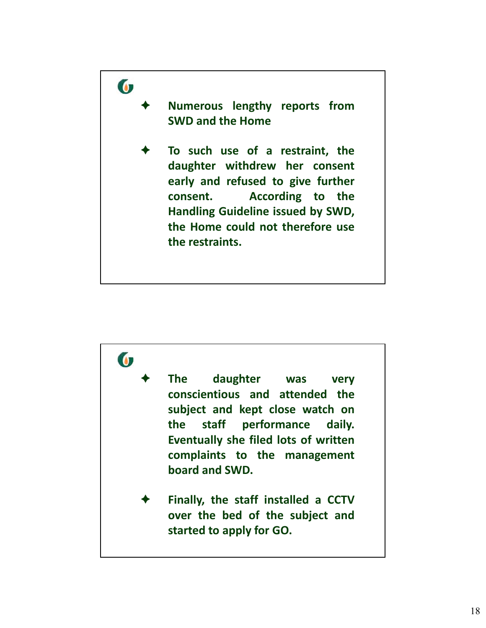

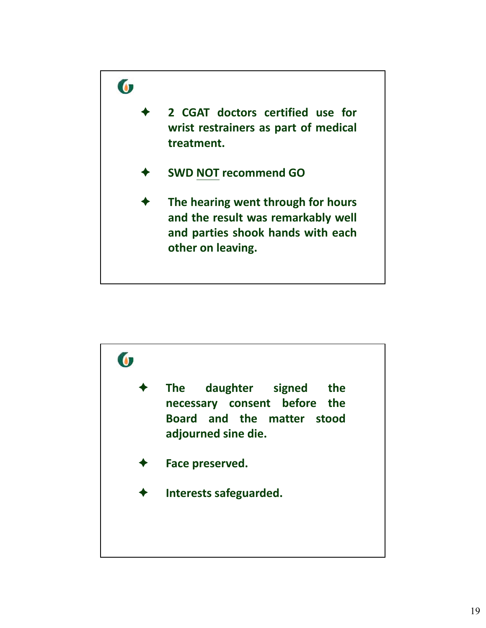

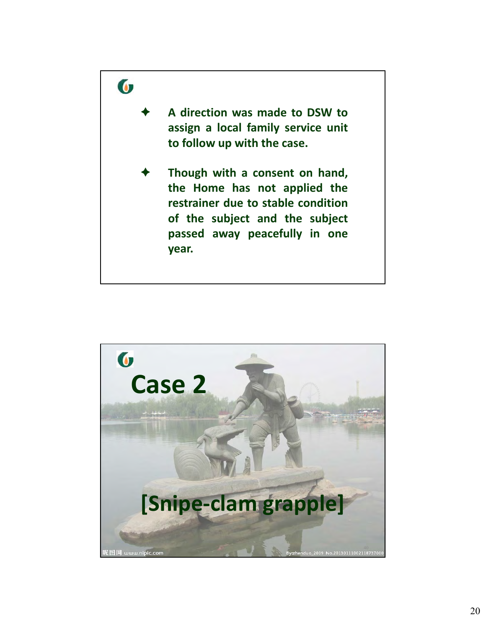

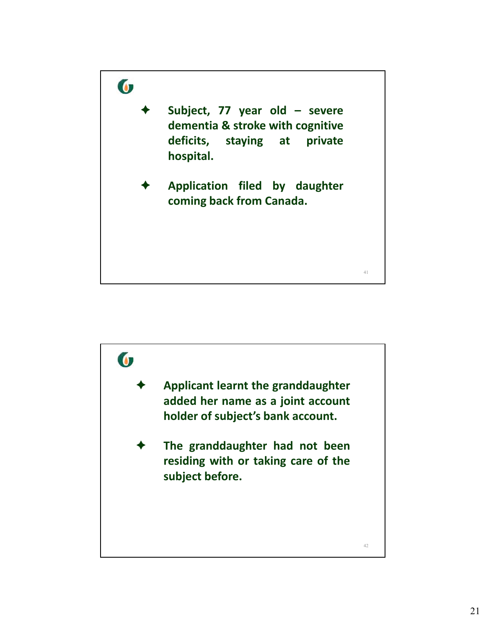

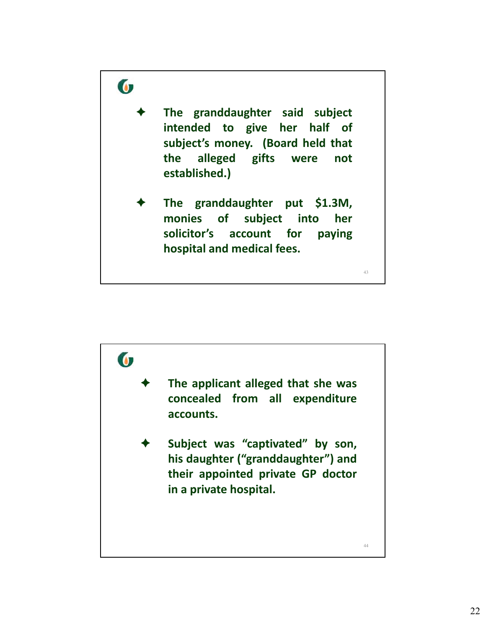

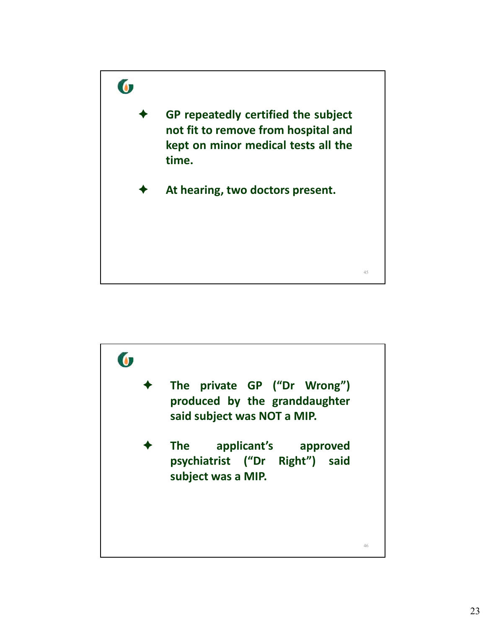

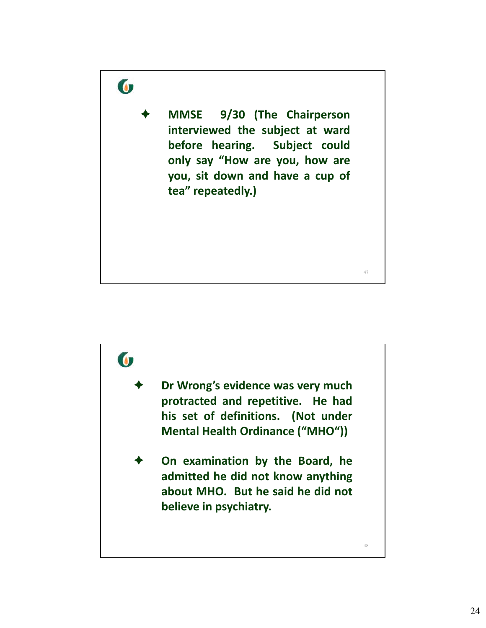

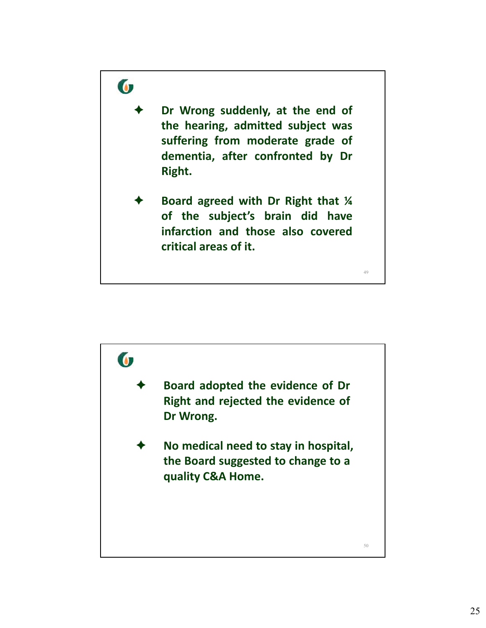

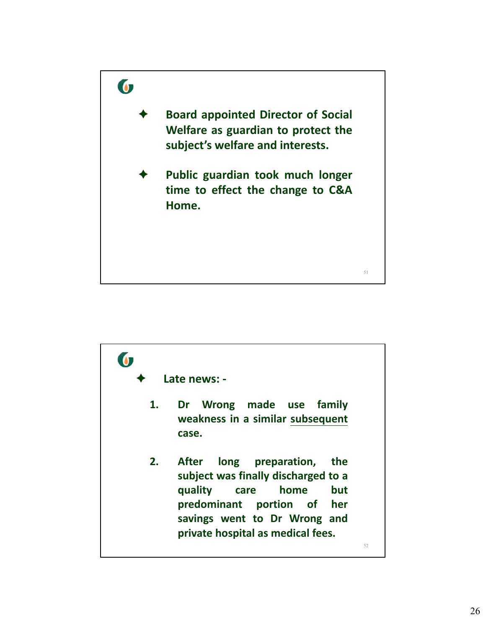

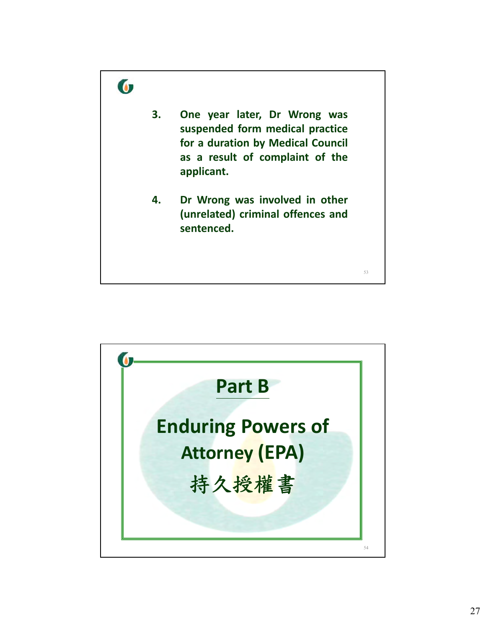

**G Part B Enduring Powers of Attorney (EPA)** 持久授權書 54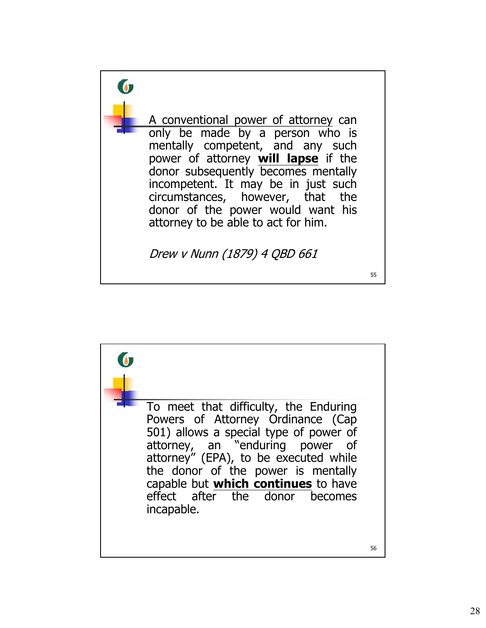

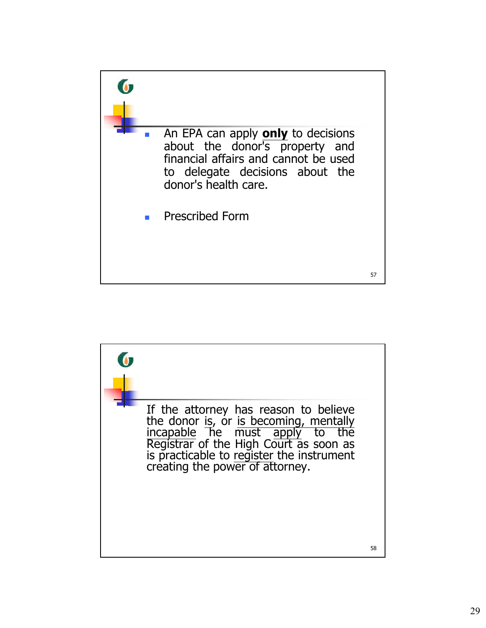

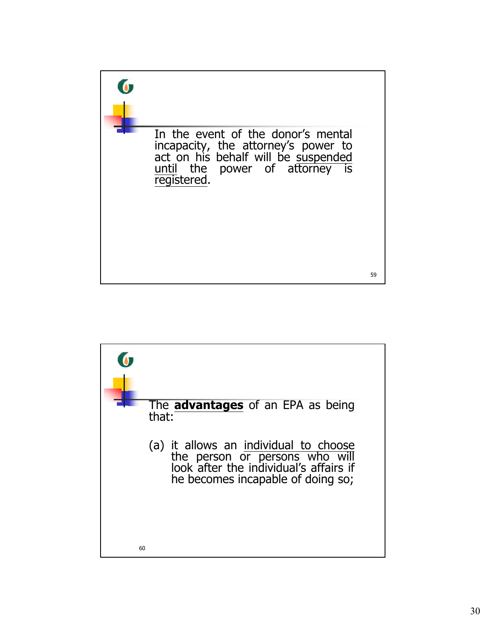

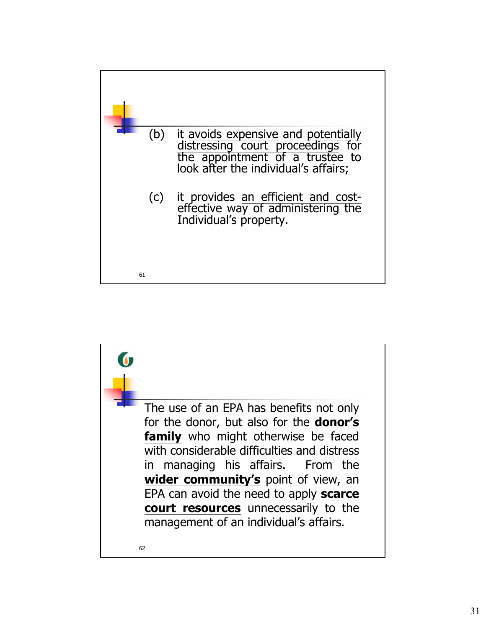

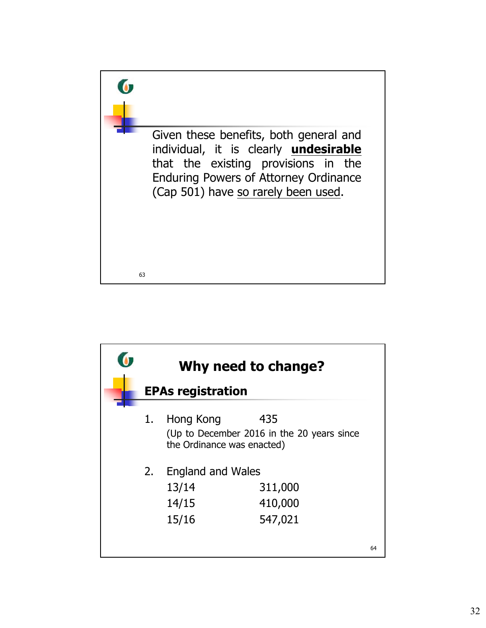

|    | Why need to change?                                 |                                                   |    |
|----|-----------------------------------------------------|---------------------------------------------------|----|
|    | <b>EPAs registration</b>                            |                                                   |    |
| 1. | Hong Kong<br>the Ordinance was enacted)             | 435<br>(Up to December 2016 in the 20 years since |    |
| 2. | <b>England and Wales</b><br>13/14<br>14/15<br>15/16 | 311,000<br>410,000<br>547,021                     |    |
|    |                                                     |                                                   | 64 |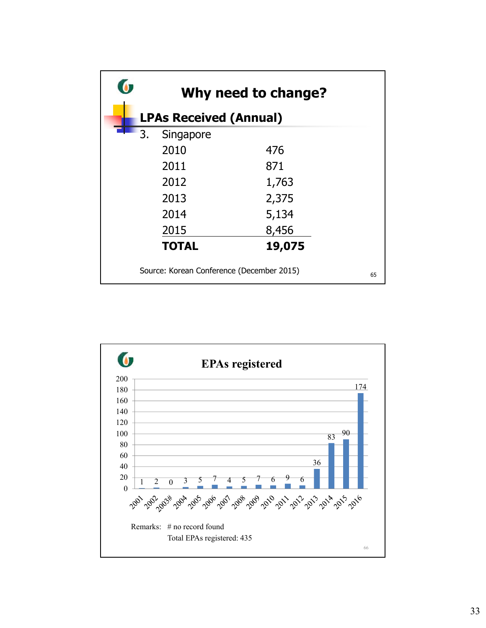| O              |                               | Why need to change?                       |    |
|----------------|-------------------------------|-------------------------------------------|----|
|                | <b>LPAs Received (Annual)</b> |                                           |    |
| $\mathbf{r}_3$ | Singapore                     |                                           |    |
|                | 2010                          | 476                                       |    |
|                | 2011                          | 871                                       |    |
|                | 2012                          | 1,763                                     |    |
|                | 2013                          | 2,375                                     |    |
|                | 2014                          | 5,134                                     |    |
|                | 2015                          | 8,456                                     |    |
|                | <b>TOTAL</b>                  | 19,075                                    |    |
|                |                               | Source: Korean Conference (December 2015) | 65 |

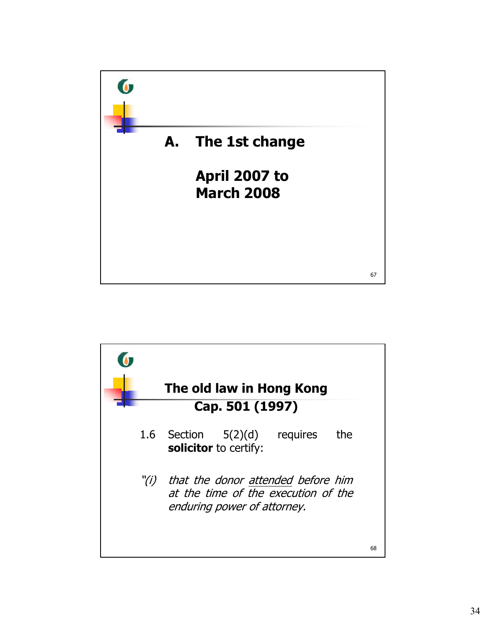

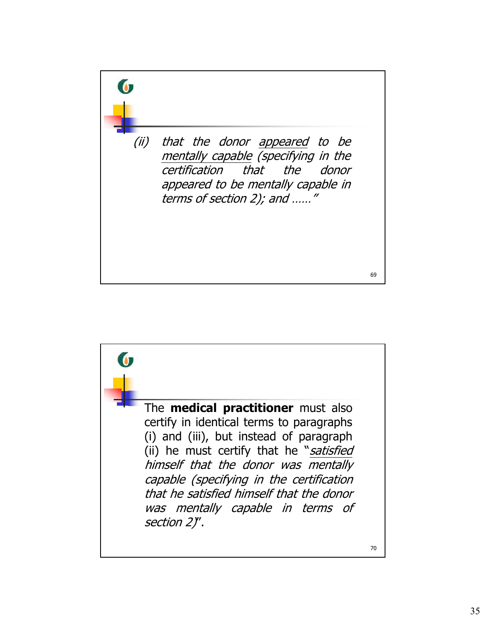

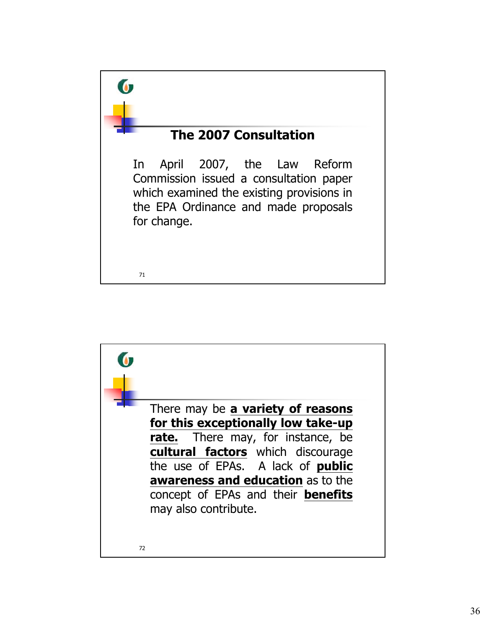

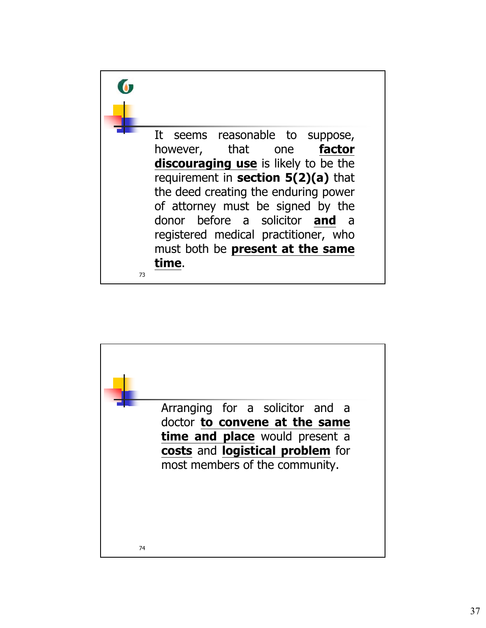

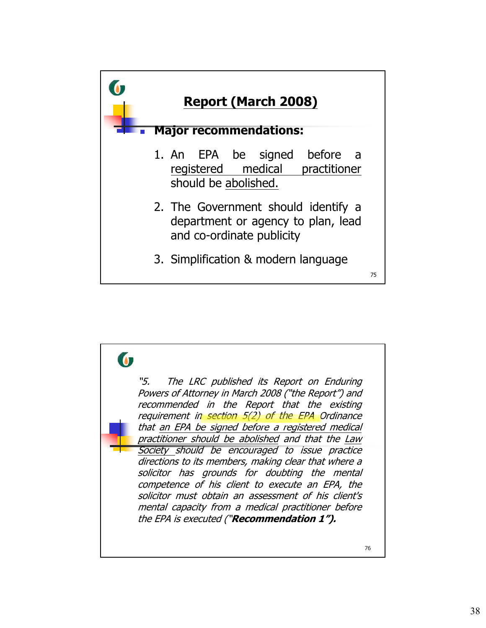

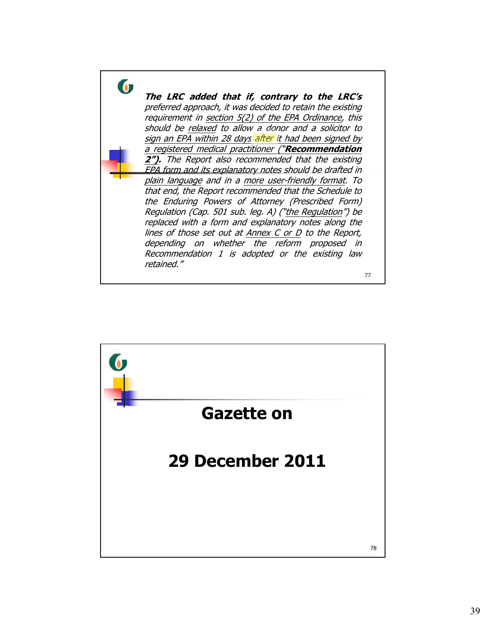

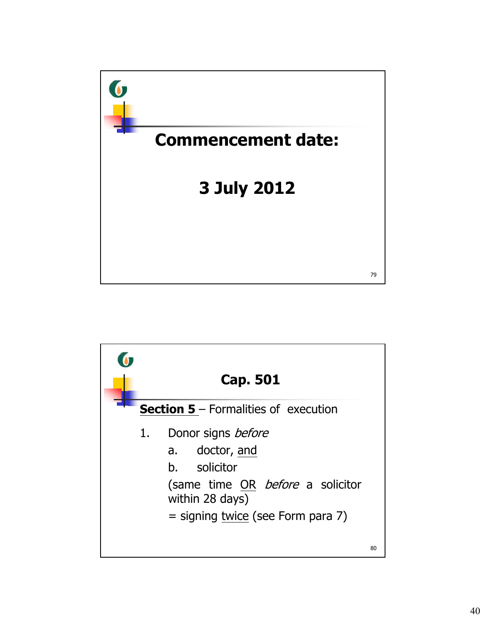

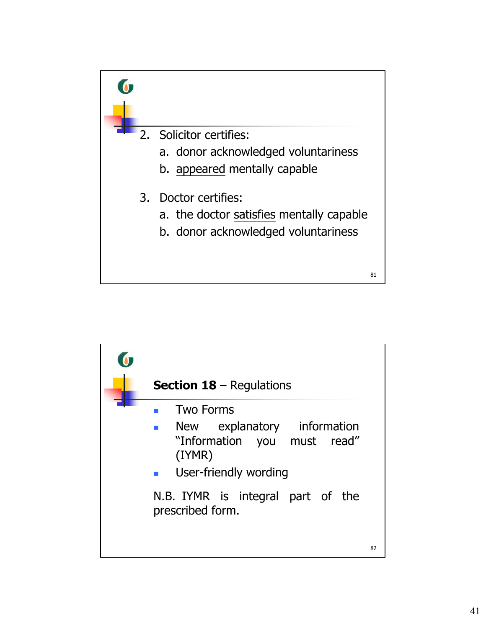

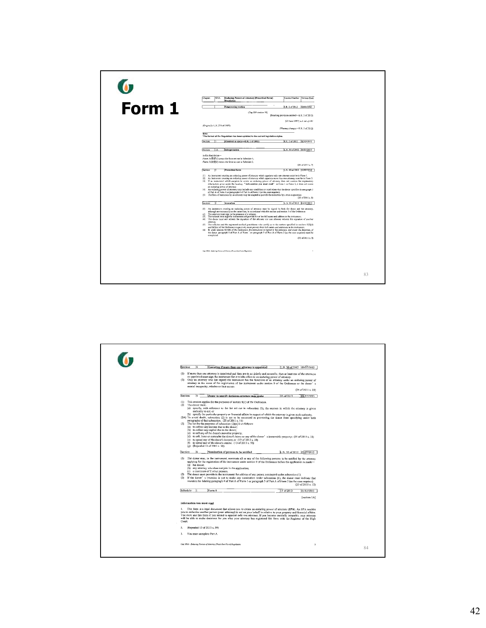|        | <b>Enduring Powers of Attorney (Prescribed Form)</b><br>Gasetto Number Version Date<br>Chanter.<br><b>SOIA</b><br>Regulation                                                                                                                                                                                                                                                                                                                                                                                                                                                                                                                                                                                                                                                                                                                                                                                                                                                                                                                                                                                                              |    |
|--------|-------------------------------------------------------------------------------------------------------------------------------------------------------------------------------------------------------------------------------------------------------------------------------------------------------------------------------------------------------------------------------------------------------------------------------------------------------------------------------------------------------------------------------------------------------------------------------------------------------------------------------------------------------------------------------------------------------------------------------------------------------------------------------------------------------------------------------------------------------------------------------------------------------------------------------------------------------------------------------------------------------------------------------------------------------------------------------------------------------------------------------------------|----|
|        | E.R. 2 of 2012 02/08/2012<br><b>Empowering section</b>                                                                                                                                                                                                                                                                                                                                                                                                                                                                                                                                                                                                                                                                                                                                                                                                                                                                                                                                                                                                                                                                                    |    |
| Form 1 | (Cap 501 section 18)<br>(Enecting provision omitted-E.R. 2 of 2012)<br>[27 June 1997] L.M. 365 of 1997                                                                                                                                                                                                                                                                                                                                                                                                                                                                                                                                                                                                                                                                                                                                                                                                                                                                                                                                                                                                                                    |    |
|        | (Originally L.N. 271 of 1997)<br>(*Format changes=E.R. 2 of 2012)<br>Note:                                                                                                                                                                                                                                                                                                                                                                                                                                                                                                                                                                                                                                                                                                                                                                                                                                                                                                                                                                                                                                                                |    |
|        | *The format of the Regulation has been updated to the current legislative styles.                                                                                                                                                                                                                                                                                                                                                                                                                                                                                                                                                                                                                                                                                                                                                                                                                                                                                                                                                                                                                                                         |    |
|        | E.R. 2 of 2012 02:03:2012<br>Section:<br>(Omitted as spent-E.R. 2 of 2012)                                                                                                                                                                                                                                                                                                                                                                                                                                                                                                                                                                                                                                                                                                                                                                                                                                                                                                                                                                                                                                                                |    |
|        | Section:<br>٦W<br>Interpretation<br>L.N. 50 of 2012 03/07/2012                                                                                                                                                                                                                                                                                                                                                                                                                                                                                                                                                                                                                                                                                                                                                                                                                                                                                                                                                                                                                                                                            |    |
|        | In this Regulation-<br>Form 1 (表格)) means the form set out in Schedule 1;<br>Form 2 (He (S2) means the form set out in Schedule 2.                                                                                                                                                                                                                                                                                                                                                                                                                                                                                                                                                                                                                                                                                                                                                                                                                                                                                                                                                                                                        |    |
|        | $(25 \text{ of } 2011 \text{ s. } 7)$<br>Section:<br>$\overline{12}$<br>Prescribed form<br>[L.N. 50 of 2012   03/07/2012                                                                                                                                                                                                                                                                                                                                                                                                                                                                                                                                                                                                                                                                                                                                                                                                                                                                                                                                                                                                                  |    |
|        | (1) An instrument creating an enduring power of attorney which appoints only one attorney must be in Form 1.<br>(2) An instrument creating an enduring power of attentity which appoints more than one attorney must be in Form 2.<br>(3) If an instrument which purposes to create an enduring power of attorney does not contain the explanatory<br>information given under the heading "Information you must read" in Form 1 or Fone 2, it does not create<br>an enduring power of attorney.<br>(4) An enduring power of attempy suay include any conditions or reatrictions that the donor specifies in paragraph 3<br>of Part A of Form 1 or paragraph 4 of Part A of Form 2 (as the case requires).<br>(5) The form of execution by an astomey may be adapted to provide for execution by a trust corporation.<br>(25 of 2011 s.8)                                                                                                                                                                                                                                                                                                  |    |
|        | Section:<br>Execution<br>L.N. 50 of 2012 03/07/2012<br>$\overline{\mathbf{a}}$<br>(1) An instrument creating an enduring power of attorney must be signed by both the donor and the attorney,<br>although not necessarily at the same time, in necordance with this section and section 5 of the Ordinance.<br>The attorney must sign in the presence of a witness.<br>(2)<br>The witness roust sign the instrument and provide his or her full name and address in the instrument.<br>631<br>(4) The donor must not witness the signature of the attorney nor one attorney wintess the signature of another<br>attorney.<br>(5) The solicitor and the registered medical practitioner who certify as to the matters specified in sections S(2)(d)<br>and 5(2)(e) of the Ordinance respectively must provide their full names and addresses in the instrument.<br>(6) If, under section 5(2)(b) of the Ordinance, the instrument is signed in the presence, and under the depetion, of<br>the donor, passgraph R of Part A of Form 1 or paragraph 9 of Part A of Form 2 (as the case requires) must be<br>completed<br>(25 of 2011 s. 9). |    |
|        | Cap 1014 - Enduring Possers of Aturnay (Prescribed Furn) Regulation<br>$\mathbf{a}$                                                                                                                                                                                                                                                                                                                                                                                                                                                                                                                                                                                                                                                                                                                                                                                                                                                                                                                                                                                                                                                       |    |
|        |                                                                                                                                                                                                                                                                                                                                                                                                                                                                                                                                                                                                                                                                                                                                                                                                                                                                                                                                                                                                                                                                                                                                           | 83 |

| Section:<br>14<br>Execution if more than one attorney is appointed<br>L.N. 50 of 2012 03/07/2012                                                                                                                                                                                                                                                                                                                                                                                                                                                                                                                                                                                                                                                                                                                                                                                                                                                                                                                                                                                                                                                                                                                                                                                                                                                                                                                                                                                                                                                                                                                                                                                                                                                                                                                                                                                        |    |
|-----------------------------------------------------------------------------------------------------------------------------------------------------------------------------------------------------------------------------------------------------------------------------------------------------------------------------------------------------------------------------------------------------------------------------------------------------------------------------------------------------------------------------------------------------------------------------------------------------------------------------------------------------------------------------------------------------------------------------------------------------------------------------------------------------------------------------------------------------------------------------------------------------------------------------------------------------------------------------------------------------------------------------------------------------------------------------------------------------------------------------------------------------------------------------------------------------------------------------------------------------------------------------------------------------------------------------------------------------------------------------------------------------------------------------------------------------------------------------------------------------------------------------------------------------------------------------------------------------------------------------------------------------------------------------------------------------------------------------------------------------------------------------------------------------------------------------------------------------------------------------------------|----|
| (1) If more than one attorney is appointed and they are to act jointly and acverally, then at least one of the attorneys<br>so appointed must sign the instrument for it to take effect as an enduring power of attorney.<br>(2)<br>Only an attorney who has signed the instrument has the functions of an attorney under an enduring power of<br>attorney in this event of the registration of the instrument under section 9 of the Ordinance or the donor's<br>mental incapacity, whichever first occurs.<br>$(25$ of $2011$ s. $10)$                                                                                                                                                                                                                                                                                                                                                                                                                                                                                                                                                                                                                                                                                                                                                                                                                                                                                                                                                                                                                                                                                                                                                                                                                                                                                                                                                |    |
| Section:<br>ls.<br>Donor to specify decisions attorney may make<br>13 of 2013<br>01/12/2013                                                                                                                                                                                                                                                                                                                                                                                                                                                                                                                                                                                                                                                                                                                                                                                                                                                                                                                                                                                                                                                                                                                                                                                                                                                                                                                                                                                                                                                                                                                                                                                                                                                                                                                                                                                             |    |
| (1) This section applies for the purposes of section 8(1) of the Ordinance.<br>(2) The donor must-<br>(a) specify, with reference to the list set out in subsection (3), the matters in which the attorney is given<br>authority to act: or<br>(b) specify the particular property or financial affairs in respect of which the attorney is given such authority.<br>(2A) To avoid doubt, subsection (2) is not to be construed as preventing the donor from specifying under both<br>paragraphs of that subsection. (25 of 2011 s. 11)<br>$(3)$ The list for the purposes of subsection $(2)(s)$ is as follows-<br>(a) to collect any income due to the donor:<br>(b) to collect any capital due to the donor:<br>(c) to sell any of the donor's movable property;<br>(d) to sell, lease or surrender the donor's home or any of the donor's immovable property; (25 of 2011 s, 11)<br>(c) to spend any of the donor's income; or (13 of 2013 s, 58)<br>(f) to spend any of the donor's capital. (13 of 2013 s. 58)<br>(g) (Repealed 13 of 2013 s. 58)<br>Section:<br>$\sqrt{6}$<br>L.N. 50 of 2012 03/07/2012<br>Nomination of persons to be notified<br>(1) The donor may, in the instrument, nominate all or any of the following persons to be notified by the attorney<br>applying for the registration of the instrument under section 9 of the Ordinance before the application is made-<br>(a) the donor;<br>(b) any attorney who does not join in the application;<br>(c) a maximum of 2 other persons.<br>(2) The donor must provide in the instrument the address of any person nominated under subsection (1).<br>(3) If the donor' s intention is not to make any nomination under subsection (1), the donor must indicate that<br>intention by deleting paragraph 4 of Part A of Form 1 or paragraph 5 of Part A of Form 2 (as the case requires).<br>(25 of 2011 s. 12) |    |
| Schedule: 1<br>Form 1<br>13 of 2013<br>01/12/2013                                                                                                                                                                                                                                                                                                                                                                                                                                                                                                                                                                                                                                                                                                                                                                                                                                                                                                                                                                                                                                                                                                                                                                                                                                                                                                                                                                                                                                                                                                                                                                                                                                                                                                                                                                                                                                       |    |
| [section 1A]                                                                                                                                                                                                                                                                                                                                                                                                                                                                                                                                                                                                                                                                                                                                                                                                                                                                                                                                                                                                                                                                                                                                                                                                                                                                                                                                                                                                                                                                                                                                                                                                                                                                                                                                                                                                                                                                            |    |
| Information you must read                                                                                                                                                                                                                                                                                                                                                                                                                                                                                                                                                                                                                                                                                                                                                                                                                                                                                                                                                                                                                                                                                                                                                                                                                                                                                                                                                                                                                                                                                                                                                                                                                                                                                                                                                                                                                                                               |    |
| 1. This form is a legal document that allows you to create an enduring power of attorney (EPA). An EPA enables<br>you to authorize another person (your attorney) to act on your behalf in relation to your property and financial affairs.<br>You must use this form if you intend to appoint only one attorney. If you become mentally incapable, your attorney<br>will be able to make decisions for you after your attorney has registered this form with the Registrar of the High<br>Court.                                                                                                                                                                                                                                                                                                                                                                                                                                                                                                                                                                                                                                                                                                                                                                                                                                                                                                                                                                                                                                                                                                                                                                                                                                                                                                                                                                                       |    |
| 2.<br>(Repealed 13 of 2013 s. 59)                                                                                                                                                                                                                                                                                                                                                                                                                                                                                                                                                                                                                                                                                                                                                                                                                                                                                                                                                                                                                                                                                                                                                                                                                                                                                                                                                                                                                                                                                                                                                                                                                                                                                                                                                                                                                                                       |    |
| You must complete Part A.<br>3.                                                                                                                                                                                                                                                                                                                                                                                                                                                                                                                                                                                                                                                                                                                                                                                                                                                                                                                                                                                                                                                                                                                                                                                                                                                                                                                                                                                                                                                                                                                                                                                                                                                                                                                                                                                                                                                         |    |
| Cap 3014 - Énducase Passers of America (Prescribed Form) Regulation<br>$\overline{2}$                                                                                                                                                                                                                                                                                                                                                                                                                                                                                                                                                                                                                                                                                                                                                                                                                                                                                                                                                                                                                                                                                                                                                                                                                                                                                                                                                                                                                                                                                                                                                                                                                                                                                                                                                                                                   | 84 |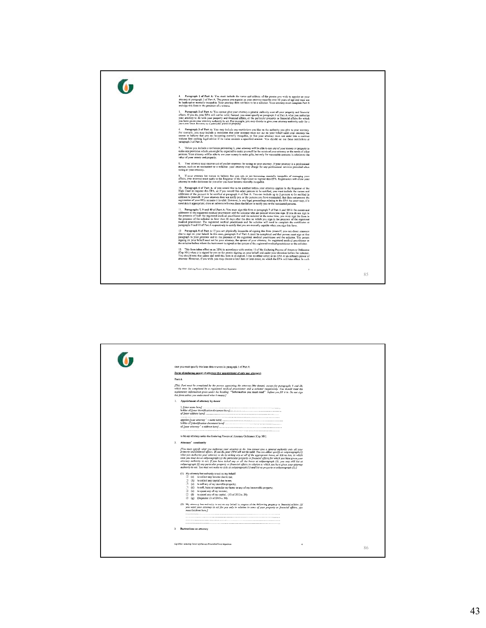

| case you must specify this later date or event in paragraph 5 of Part A.<br>Form of enduring power of attorney (for appointment of only one attorney)<br>Part A<br>[This Part must be completed by the person appointing the attorney (the donor), except for paragraphs 9 and 10,<br>which must be completed by a registered medical practitioner and a solicitor respectively. You should read the<br>explanatory information given under the heading "Information you must read" before you fill it in. Do not sign<br>this form unless you understand what it means.)<br>1. Appointment of attorney by donor<br>to be my attorney under the Enduring Powers of Attorney Ordinance (Cap 501).<br>2. Attorney' sauthority<br>[You midt specify what you authorize your attorney to do. You cannot give a general authority over all your<br>property and financial affairs. If you do, your EPA will not be valid. You can either specify at subparagraph (1)<br>what you authorize your attorney to do by ticking any or all of the appropriate bazes, or tick no box, in which<br>case you must list at subparagraph (2) the particular property or financial affairs for which you have given your<br>attorney authority to act. If you have ticked any or all the boxes at subparagraph (1), you may still list at<br>subparagraph (2) any particular property or financial affairs in relation to which you have given your attorney<br>authority to act. You must not make no ticks at subparagraph (1) and list no property at subparagraph (2).]<br>(1) My attorney has authority to act on my behalf:<br>$\Box$ (a) to collect any income due to me:<br>$\Box$ (b) to collect any capital due to me;<br>.1 (c) to sell any of my movable property;<br>$\Box$ (d) to sell, lease or surrender my home or any of my immovable property;<br>$\Box$ (e) to spend any of my income:<br>$\Box$ (f) to spend any of my capital. (13 of 2013 s. 59)<br>(g) (Repealed 13 of 2013 s. 59)<br>(2) My attorney has authority to act on my behalf in respect of the following property or financial affairs: /i/<br>you want your attorney to act for you only in relation to some of your property or financial affairs, you<br>must list them here.] |    |
|-----------------------------------------------------------------------------------------------------------------------------------------------------------------------------------------------------------------------------------------------------------------------------------------------------------------------------------------------------------------------------------------------------------------------------------------------------------------------------------------------------------------------------------------------------------------------------------------------------------------------------------------------------------------------------------------------------------------------------------------------------------------------------------------------------------------------------------------------------------------------------------------------------------------------------------------------------------------------------------------------------------------------------------------------------------------------------------------------------------------------------------------------------------------------------------------------------------------------------------------------------------------------------------------------------------------------------------------------------------------------------------------------------------------------------------------------------------------------------------------------------------------------------------------------------------------------------------------------------------------------------------------------------------------------------------------------------------------------------------------------------------------------------------------------------------------------------------------------------------------------------------------------------------------------------------------------------------------------------------------------------------------------------------------------------------------------------------------------------------------------------------------------------------------------------------------------------------------------------------------------------|----|
|                                                                                                                                                                                                                                                                                                                                                                                                                                                                                                                                                                                                                                                                                                                                                                                                                                                                                                                                                                                                                                                                                                                                                                                                                                                                                                                                                                                                                                                                                                                                                                                                                                                                                                                                                                                                                                                                                                                                                                                                                                                                                                                                                                                                                                                     |    |
| 3. Restrictions on attorney<br>Cop 101.4 - Enduring Foreca of Attorney (Prescribed Form) Kegulation<br>٠                                                                                                                                                                                                                                                                                                                                                                                                                                                                                                                                                                                                                                                                                                                                                                                                                                                                                                                                                                                                                                                                                                                                                                                                                                                                                                                                                                                                                                                                                                                                                                                                                                                                                                                                                                                                                                                                                                                                                                                                                                                                                                                                            | 86 |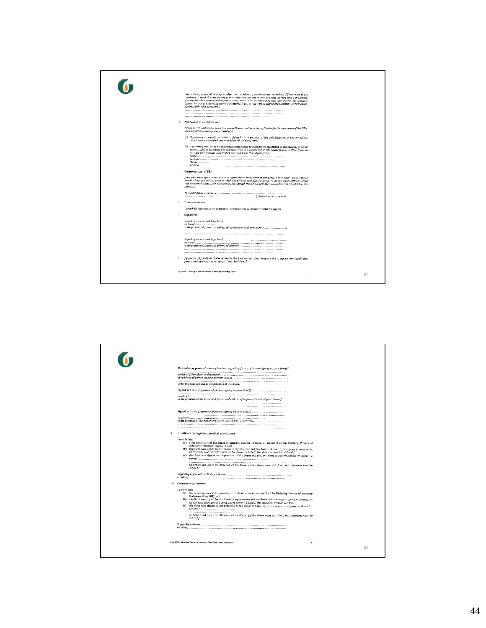

|    | This enduring power of atterney has been signed by frame of person signing on your behalf!                                                                                                                                                                                                                                                                                                                                                                                                                                                                                                                  |    |
|----|-------------------------------------------------------------------------------------------------------------------------------------------------------------------------------------------------------------------------------------------------------------------------------------------------------------------------------------------------------------------------------------------------------------------------------------------------------------------------------------------------------------------------------------------------------------------------------------------------------------|----|
|    |                                                                                                                                                                                                                                                                                                                                                                                                                                                                                                                                                                                                             |    |
|    | under the direction and in the presence of the donor.                                                                                                                                                                                                                                                                                                                                                                                                                                                                                                                                                       |    |
|    |                                                                                                                                                                                                                                                                                                                                                                                                                                                                                                                                                                                                             |    |
|    | in the presence of the donor and [name and address of registered medical practitioner]                                                                                                                                                                                                                                                                                                                                                                                                                                                                                                                      |    |
|    |                                                                                                                                                                                                                                                                                                                                                                                                                                                                                                                                                                                                             |    |
|    |                                                                                                                                                                                                                                                                                                                                                                                                                                                                                                                                                                                                             |    |
|    |                                                                                                                                                                                                                                                                                                                                                                                                                                                                                                                                                                                                             |    |
|    |                                                                                                                                                                                                                                                                                                                                                                                                                                                                                                                                                                                                             |    |
|    |                                                                                                                                                                                                                                                                                                                                                                                                                                                                                                                                                                                                             |    |
| 9. | Certificate by registered medical practitioner                                                                                                                                                                                                                                                                                                                                                                                                                                                                                                                                                              |    |
|    | I certify that:<br>(a) I am satisfied that the donor is mentally capable in terms of section 2 of the Enduring Powers of<br>Attorney Ordinance (Cap 501); and<br>(b) this form was signed by the donor in my presence and the donor acknowledged signing it voluntarily.<br>[If someone cise signs this form on the donor' s behalf, this statement must be deleted.]<br>(c) this form was signed, in the presence of the donor and me, by <i>[name of person signing on donor' s</i><br>on behalf and under the direction of the donor. [If the donor signs this form, this statement must be<br>daleted./ |    |
|    |                                                                                                                                                                                                                                                                                                                                                                                                                                                                                                                                                                                                             |    |
|    | 10. Certificate by solicitor                                                                                                                                                                                                                                                                                                                                                                                                                                                                                                                                                                                |    |
|    | I certify that:<br>(a) the donor appears to be mentally capable in terms of section 2 of the Enduring Powers of Attorney<br>Ordinance (Cap 501); and<br>(b) this form was signed by the donor in my presence and the donor acknowledged signing it voluntarily.<br>[If someone else signs this form on the donor' s behalf, this statement must be deleted I<br>(c) this form was signed, in the presence of the donor and me, by fname of person signing on donor's                                                                                                                                        |    |
|    | on behalf and under the direction of the donor. [If the donor signs this form, this statement must be<br>deleted.1                                                                                                                                                                                                                                                                                                                                                                                                                                                                                          |    |
|    |                                                                                                                                                                                                                                                                                                                                                                                                                                                                                                                                                                                                             |    |
|    | Cap 501A - Enduring Persons of Attorney (Prescribed Form) Regulation                                                                                                                                                                                                                                                                                                                                                                                                                                                                                                                                        | 88 |
|    |                                                                                                                                                                                                                                                                                                                                                                                                                                                                                                                                                                                                             |    |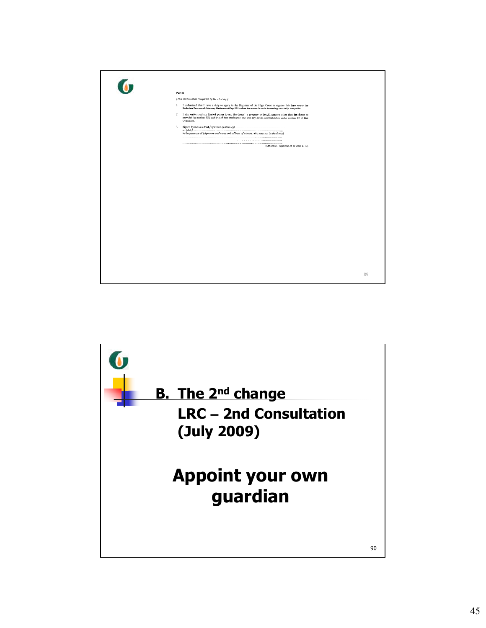

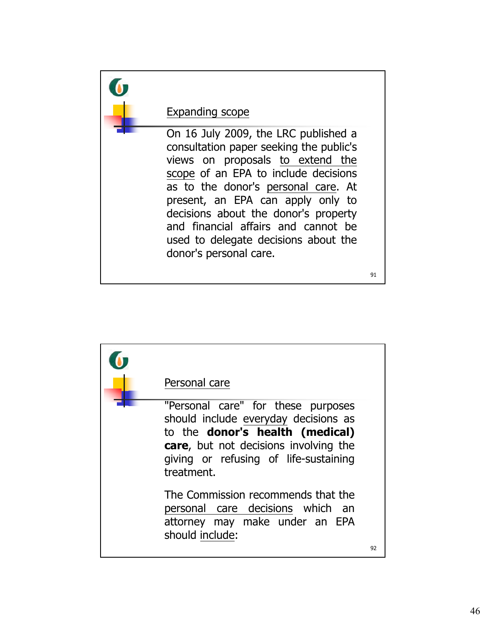

| Personal care                                                                                                                                                                                                                |    |
|------------------------------------------------------------------------------------------------------------------------------------------------------------------------------------------------------------------------------|----|
| "Personal care" for these purposes<br>should include everyday decisions as<br>to the <b>donor's health (medical)</b><br><b>care</b> , but not decisions involving the<br>giving or refusing of life-sustaining<br>treatment. |    |
| The Commission recommends that the<br>personal care decisions which an<br>attorney may make under an EPA<br>should include:                                                                                                  | 92 |
|                                                                                                                                                                                                                              |    |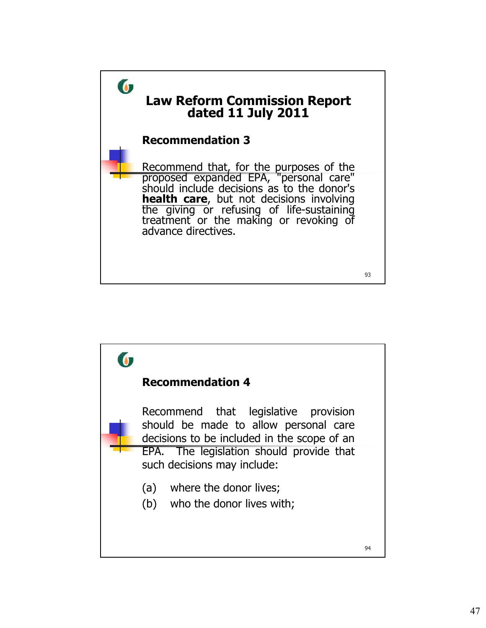

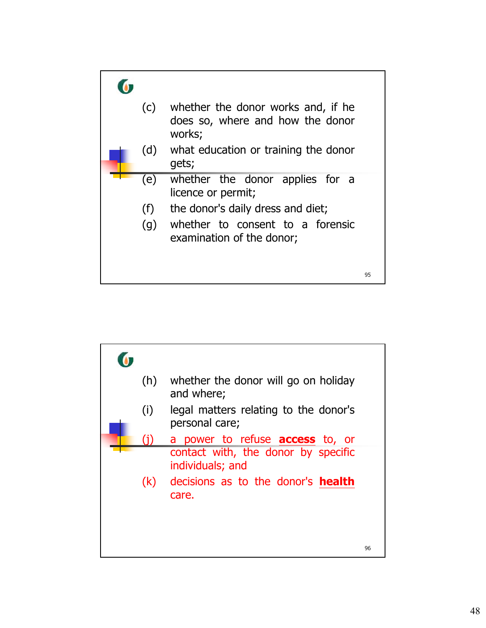

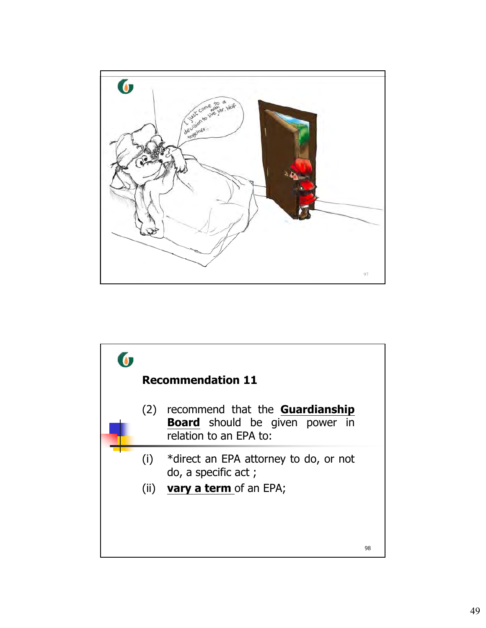

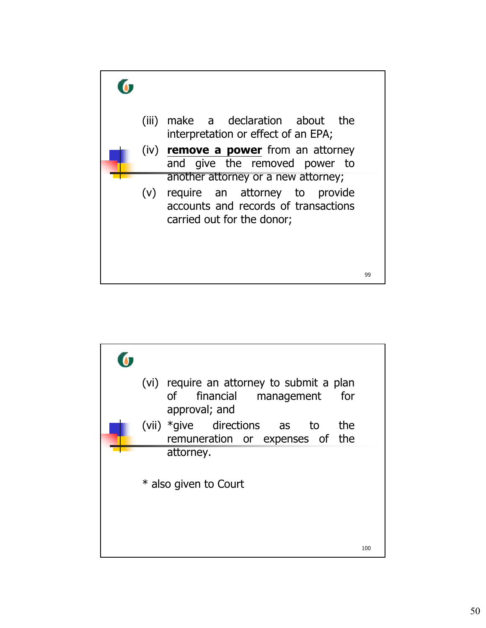

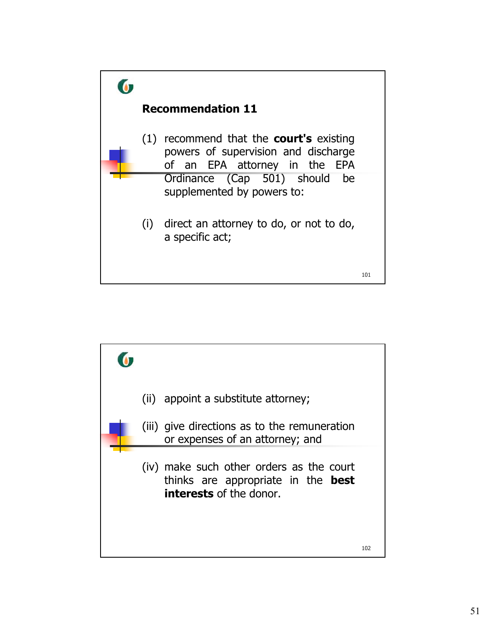

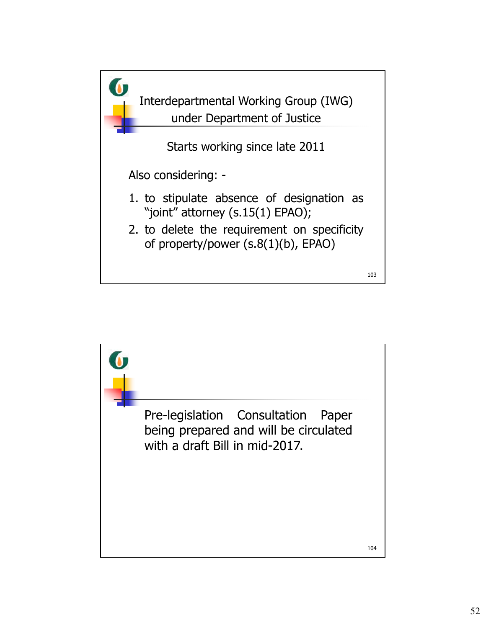

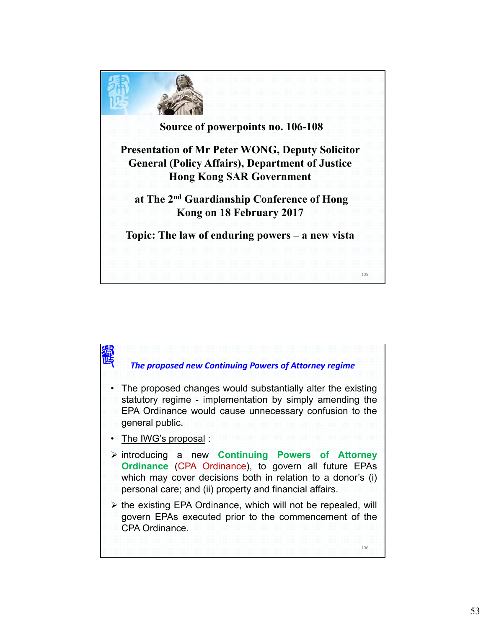

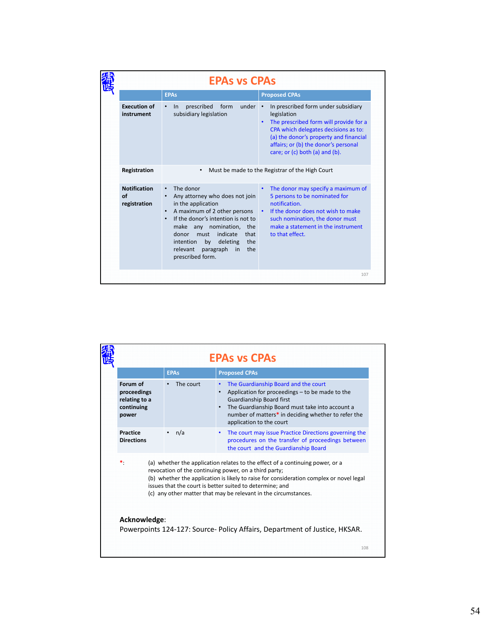|                                           | <b>EPAS VS CPAS</b>                                                                                                                                                                                                                                                                                                                |                                                                                                                                                                                                                                                          |
|-------------------------------------------|------------------------------------------------------------------------------------------------------------------------------------------------------------------------------------------------------------------------------------------------------------------------------------------------------------------------------------|----------------------------------------------------------------------------------------------------------------------------------------------------------------------------------------------------------------------------------------------------------|
|                                           | <b>EPAs</b>                                                                                                                                                                                                                                                                                                                        | <b>Proposed CPAs</b>                                                                                                                                                                                                                                     |
| <b>Execution of</b><br>instrument         | under<br>prescribed<br>form<br>$\ln$<br>subsidiary legislation                                                                                                                                                                                                                                                                     | In prescribed form under subsidiary<br>legislation<br>The prescribed form will provide for a<br>CPA which delegates decisions as to:<br>(a) the donor's property and financial<br>affairs; or (b) the donor's personal<br>care; or (c) both (a) and (b). |
| Registration                              | $\bullet$                                                                                                                                                                                                                                                                                                                          | Must be made to the Registrar of the High Court                                                                                                                                                                                                          |
| <b>Notification</b><br>of<br>registration | The donor<br>$\bullet$<br>Any attorney who does not join<br>in the application<br>A maximum of 2 other persons<br>$\bullet$<br>If the donor's intention is not to<br>make any nomination, the<br>indicate<br>donor<br>must<br>that<br>the<br>deleting<br>intention<br>by<br>paragraph<br>the<br>relevant<br>in<br>prescribed form. | The donor may specify a maximum of<br>$\bullet$<br>5 persons to be nominated for<br>notification.<br>If the donor does not wish to make<br>$\bullet$ .<br>such nomination, the donor must<br>make a statement in the instrument<br>to that effect.       |
|                                           |                                                                                                                                                                                                                                                                                                                                    | 107                                                                                                                                                                                                                                                      |

|                                                                 | <b>EPAS VS CPAS</b>                                                                                                                                                                                                                                                                                                                                              |                                                                                                                                                                                                                                                                                     |  |
|-----------------------------------------------------------------|------------------------------------------------------------------------------------------------------------------------------------------------------------------------------------------------------------------------------------------------------------------------------------------------------------------------------------------------------------------|-------------------------------------------------------------------------------------------------------------------------------------------------------------------------------------------------------------------------------------------------------------------------------------|--|
|                                                                 | <b>EPAs</b>                                                                                                                                                                                                                                                                                                                                                      | <b>Proposed CPAs</b>                                                                                                                                                                                                                                                                |  |
| Forum of<br>proceedings<br>relating to a<br>continuing<br>power | The court                                                                                                                                                                                                                                                                                                                                                        | The Guardianship Board and the court<br>$\bullet$<br>Application for proceedings – to be made to the<br>Guardianship Board first<br>The Guardianship Board must take into account a<br>$\bullet$<br>number of matters* in deciding whether to refer the<br>application to the court |  |
| Practice<br><b>Directions</b>                                   | n/a                                                                                                                                                                                                                                                                                                                                                              | The court may issue Practice Directions governing the<br>$\bullet$<br>procedures on the transfer of proceedings between<br>the court and the Guardianship Board                                                                                                                     |  |
| ∗.                                                              | (a) whether the application relates to the effect of a continuing power, or a<br>revocation of the continuing power, on a third party;<br>(b) whether the application is likely to raise for consideration complex or novel legal<br>issues that the court is better suited to determine; and<br>(c) any other matter that may be relevant in the circumstances. |                                                                                                                                                                                                                                                                                     |  |
| Acknowledge:                                                    |                                                                                                                                                                                                                                                                                                                                                                  |                                                                                                                                                                                                                                                                                     |  |
|                                                                 |                                                                                                                                                                                                                                                                                                                                                                  | Powerpoints 124-127: Source- Policy Affairs, Department of Justice, HKSAR.                                                                                                                                                                                                          |  |
|                                                                 |                                                                                                                                                                                                                                                                                                                                                                  | 108                                                                                                                                                                                                                                                                                 |  |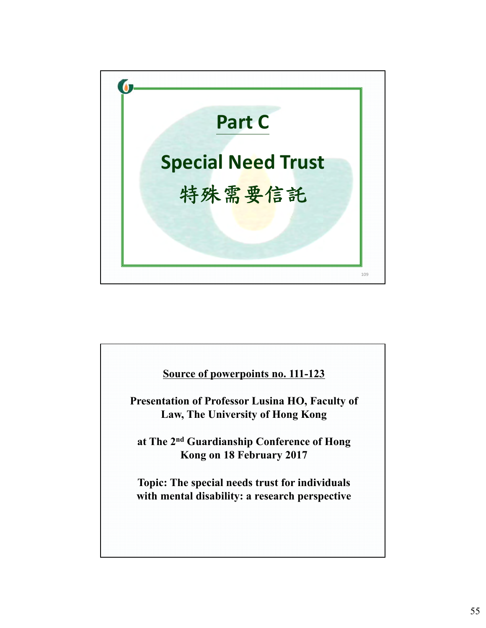

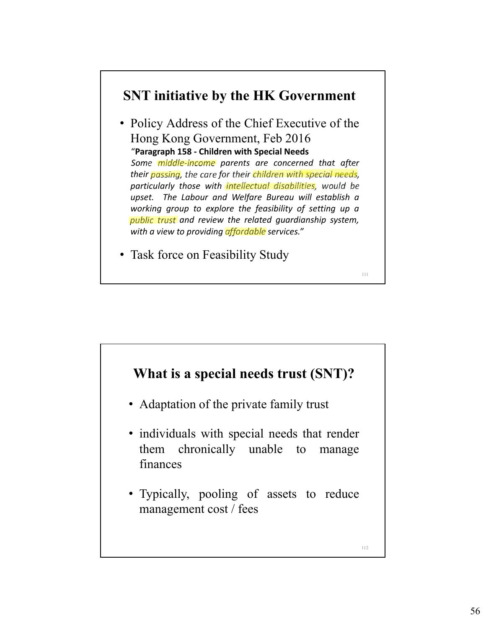## **SNT initiative by the HK Government**

• Policy Address of the Chief Executive of the Hong Kong Government, Feb 2016 "**Paragraph 158 ‐ Children with Special Needs** *Some middle‐income parents are concerned that after their passing, the care for their children with special needs, particularly those with intellectual disabilities, would be upset. The Labour and Welfare Bureau will establish a working group to explore the feasibility of setting up a public trust and review the related guardianship system, with a view to providing affordable services."*

111

• Task force on Feasibility Study

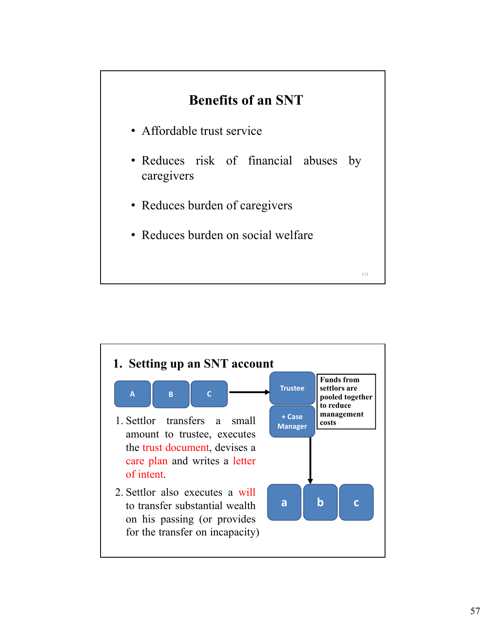## **Benefits of an SNT**

- Affordable trust service
- Reduces risk of financial abuses by caregivers

- Reduces burden of caregivers
- Reduces burden on social welfare

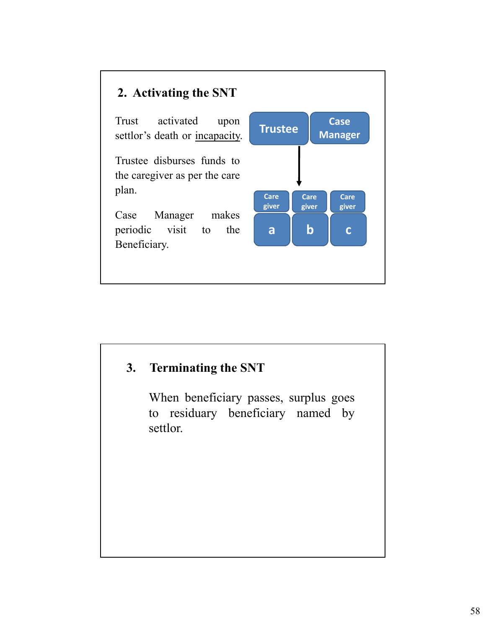

Trust activated upon settlor's death or incapacity.

Trustee disburses funds to the caregiver as per the care plan.

Case Manager makes periodic visit to the Beneficiary.



#### **3. Terminating the SNT**

When beneficiary passes, surplus goes to residuary beneficiary named by settlor.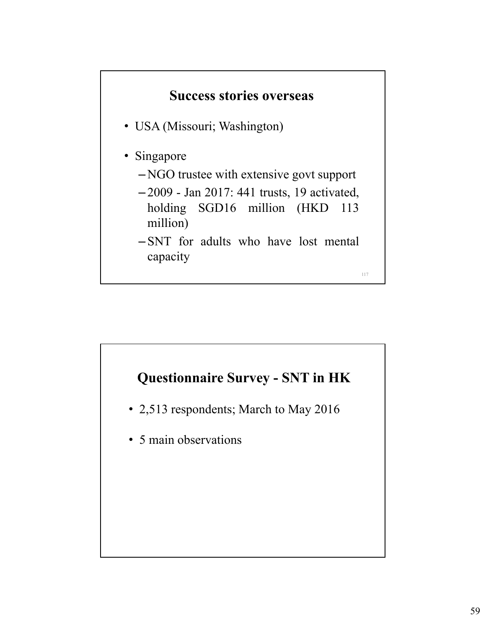

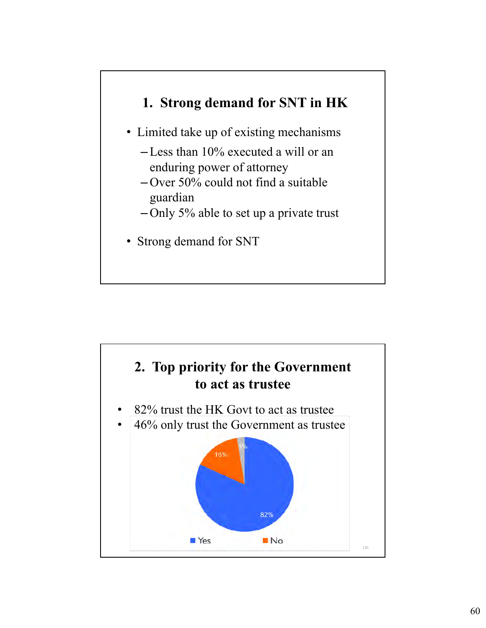## **1. Strong demand for SNT in HK**

- Limited take up of existing mechanisms
	- –Less than 10% executed a will or an enduring power of attorney
	- Over 50% could not find a suitable guardian
	- Only 5% able to set up a private trust
- Strong demand for SNT

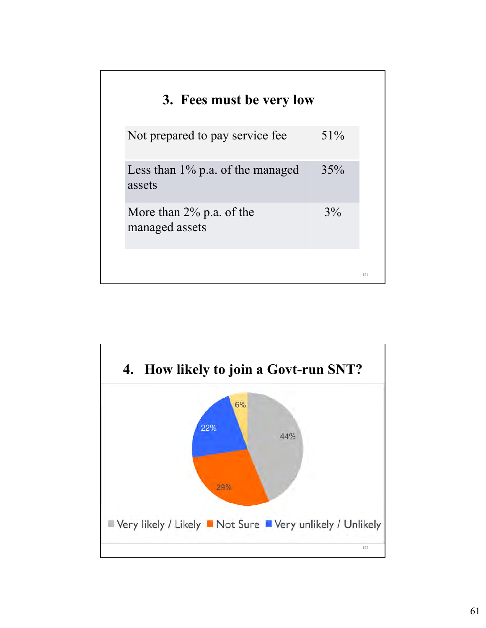| 3. Fees must be very low                      |        |
|-----------------------------------------------|--------|
| Not prepared to pay service fee               | $51\%$ |
| Less than $1\%$ p.a. of the managed<br>assets | 35%    |
| More than $2\%$ p.a. of the<br>managed assets | $3\%$  |
|                                               |        |

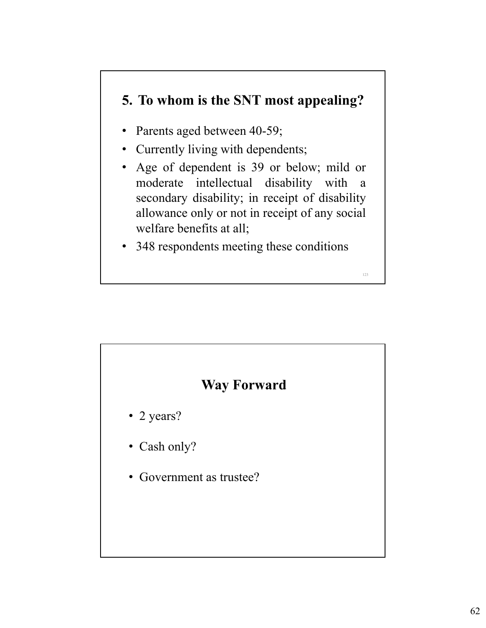## **5. To whom is the SNT most appealing?**

- Parents aged between 40-59;
- Currently living with dependents;
- Age of dependent is 39 or below; mild or moderate intellectual disability with a secondary disability; in receipt of disability allowance only or not in receipt of any social welfare benefits at all;

123

• 348 respondents meeting these conditions